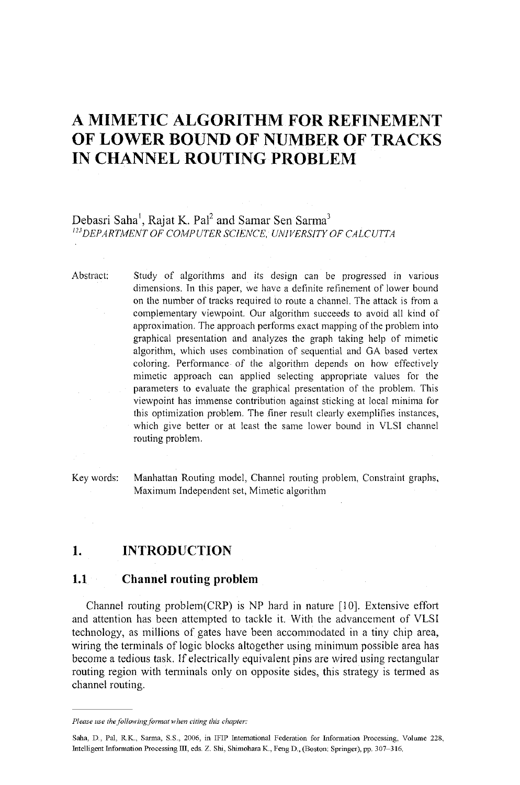# A MIMETIC ALGORITHM FOR REFINEMENT OF LOWER BOUND OF NUMBER OF TRACKS IN CHANNEL ROUTING PROBLEM

# Debasri Saha<sup>1</sup>, Rajat K. Pal<sup>2</sup> and Samar Sen Sarma<sup>3</sup><br><sup>123</sup>DEPARTMENT OF COMPUTER SCIENCE, UNIVERSITY OF CALCUTTA

Abstract: Study of algorithms and its design can be progressed in various dimensions. In this paper, we have a definite refinement of lower bound on the number of tracks required to route a channel. The attack is from a complementary viewpoint. Our algorithm succeeds to avoid all kind of approximation. The approach performs exact mapping of the problem into graphical presentation and analyzes the graph taking help of mimetic algorithm, which uses combination of sequential and GA based vertex coloring. Performance of the algorithm depends on how effectively mimetic approach can applied selecting appropriate values for the parameters to evaluate the graphical presentation of the problem. This viewpoint has immense contribution against sticking at local minima for this optimization problem. The finer result clearly exemplifies instances, which give better or at least the same lower bound in VLSI channel routing problem.

Key words: Manhattan Routing model, Channel routing problem, Constraint graphs, Maximum Independent set, Mimetic algorithm

# 1. **INTRODUCTION**

#### **1.1 Channel routing problem**

Channel routing problem $(CRP)$  is NP hard in nature [10]. Extensive effort and attention has been attempted to tackle it. With the advancement of VLSI technology, as millions of gates have been accommodated in a tiny chip area, wiring the terminals of logic blocks altogether using minimum possible area has become a tedious task. If electrically equivalent pins are wired using rectangular routing region with terminals only on opposite sides, this strategy is termed as channel routing.

*Please use the following format when citing this chapter:* 

Saha, D., Pal, R.K., Sarma, S.S., 2006, in IFIP International Federation for Information Processing, Volume 228, Intelligent Information Processing IE, eds. Z. Shi, Shimohara K., Feng D., (Boston: Springer), pp. 307-316.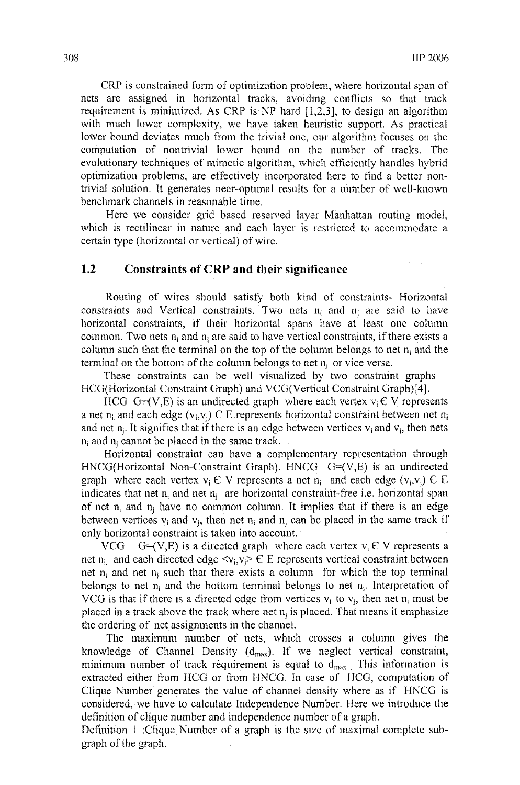CRP is constrained form of optimization problem, where horizontal span of nets are assigned in horizontal tracks, avoiding conflicts so that track requirement is minimized. As CRP is NP hard [1,2,3], to design an algorithm with much lower complexity, we have taken heuristic support. As practical lower bound deviates much from the trivial one, our algorithm focuses on the computation of nontrivial lower bound on the number of tracks. The evolutionary techniques of mimetic algorithm, which efficiently handles hybrid optimization problems, are effectively incorporated here to find a better nontrivial solution. It generates near-optimal results for a number of well-known benchmark channels in reasonable time.

Here we consider grid based reserved layer Manhattan routing model, which is rectilinear in nature and each layer is restricted to accommodate a certain type (horizontal or vertical) of wire.

#### **1.2 Constraints of CRP and their significance**

Routing of wires should satisfy both kind of constraints- Horizontal constraints and Vertical constraints. Two nets  $n_i$  and  $n_i$  are said to have horizontal constraints, if their horizontal spans have at least one column common. Two nets *n\* and nj are said to have vertical constraints, if there exists a column such that the terminal on the top of the column belongs to net  $n_i$  and the terminal on the bottom of the column belongs to net  $n_i$  or vice versa.

These constraints can be well visualized by two constraint graphs  $-$ HCG(Horizontal Constraint Graph) and VCG(Vertical Constraint Graph)[4].

HCG  $G=(V,E)$  is an undirected graph where each vertex  $v_i \in V$  represents a net n<sub>i</sub> and each edge ( $v_i,v_j$ ) C E represents horizontal constraint between net n<sub>i</sub> and net n<sub>i</sub>. It signifies that if there is an edge between vertices  $v_i$  and  $v_i$ , then nets ni and *Uj* cannot be placed in the same track.

Horizontal constraint can have a complementary representation through  $HNCG(Horizontal Non-Construction of Graph)$ .  $HNCG \ G=(V,E)$  is an undirected graph where each vertex  $v_i \in V$  represents a net  $n_i$  and each edge  $(v_i, v_j) \in E$ indicates that net n<sub>i</sub> and net n<sub>i</sub> are horizontal constraint-free i.e. horizontal span of net  $n_i$  and  $n_j$  have no common column. It implies that if there is an edge between vertices  $v_i$  and  $v_j$ , then net  $n_i$  and  $n_j$  can be placed in the same track if only horizontal constraint is taken into account.

VCG  $G=(V,E)$  is a directed graph where each vertex  $v_i \in V$  represents a net  $n_i$  and each directed edge  $\langle v_i, v_j \rangle \in E$  represents vertical constraint between net n, and net n, such that there exists a column for which the top terminal belongs to net  $n_i$  and the bottom terminal belongs to net  $n_i$ . Interpretation of VCG is that if there is a directed edge from vertices  $v_i$  to  $v_j$ , then net  $n_i$  must be placed in a track above the track where net  $n_i$  is placed. That means it emphasize the ordering of net assignments in the channel.

The maximum number of nets, which crosses a column gives the knowledge of Channel Density  $(d_{max})$ . If we neglect vertical constraint, minimum number of track requirement is equal to  $d_{\text{max}}$ . This information is extracted either from HCG or from HNCG. In case of HCG, computation of Clique Number generates the value of channel density where as if HNCG is considered, we have to calculate Independence Number. Here we introduce the definition of clique number and independence number of a graph.

Definition 1 : Clique Number of a graph is the size of maximal complete subgraph of the graph.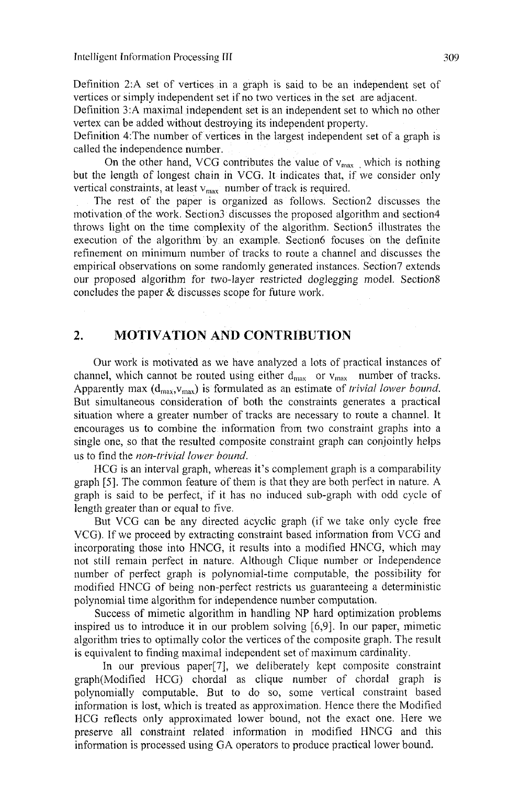Definition 2;A set of vertices in a graph is said to be an independent set of vertices or simply independent set if no two vertices in the set are adjacent.

Definition 3:A maximal independent set is an independent set to which no other vertex can be added without destroying its independent property.

Definition 4:The number of vertices in the largest independent set of a graph is called the independence number.

On the other hand, VCG contributes the value of  $v_{\text{max}}$ , which is nothing but the length of longest chain in VCG. It indicates that, if we consider only vertical constraints, at least  $v_{\text{max}}$  number of track is required.

The rest of the paper is organized as follows. Section2 discusses the motivation of the work. Section3 discusses the proposed algorithm and section4 throws light on the time complexity of the algorithm. Section illustrates the execution of the algorithm by an example. Section6 focuses on the definite refinement on minimum number of tracks to route a channel and discusses the empirical observations on some randomly generated instances. Section? extends our proposed algorithm for two-layer restricted doglegging model. Sections concludes the paper & discusses scope for future work.

# 2. MOTIVATION AND CONTRIBUTION

Our work is motivated as we have analyzed a lots of practical instances of channel, which cannot be routed using either  $d_{max}$  or  $v_{max}$  number of tracks. Apparently max (d<sub>max</sub>, v<sub>max</sub>) is formulated as an estimate of *trivial lower bound*. But simultaneous consideration of both the constraints generates a practical situation where a greater number of tracks are necessary to route a channel. It encourages us to combine the information from two constraint graphs into a single one, so that the resulted composite constraint graph can conjointly helps us to find the *non-trivial lower bound.* 

HCG is an interval graph, whereas it's complement graph is a comparability graph [5]. The common feature of them is that they are both perfect in nature. A graph is said to be perfect, if it has no induced sub-graph with odd cycle of length greater than or equal to five.

But VCG can be any directed acyclic graph (if we take only cycle free VCG). If we proceed by extracting constraint based information from VCG and incorporating those into HNCG, it results into a modified HNCG, which may not still remain perfect in nature. Although Clique number or Independence number of perfect graph is polynomial-time computable, the possibility for modified HNCG of being non-perfect restricts us guaranteeing a deterministic polynomial time algorithm for independence number computation,

Success of mimetic algorithm in handling NP hard optimization problems inspired us to introduce it in our problem solving [6,9]. In our paper, mimetic algorithm tries to optimally color the vertices of the composite graph. The result is equivalent to finding maximal independent set of maximum cardinality.

In our previous paper[7], we deliberately kept composite constraint graph(Modified HCG) chordal as clique number of chordal graph is polynomially computable. But to do so, some vertical constraint based information is lost, which is treated as approximation. Hence there the Modified HCG reflects only approximated lower bound, not the exact one. Here we preserve all constraint related information in modified HNCG and this information is processed using GA operators to produce practical lower bound.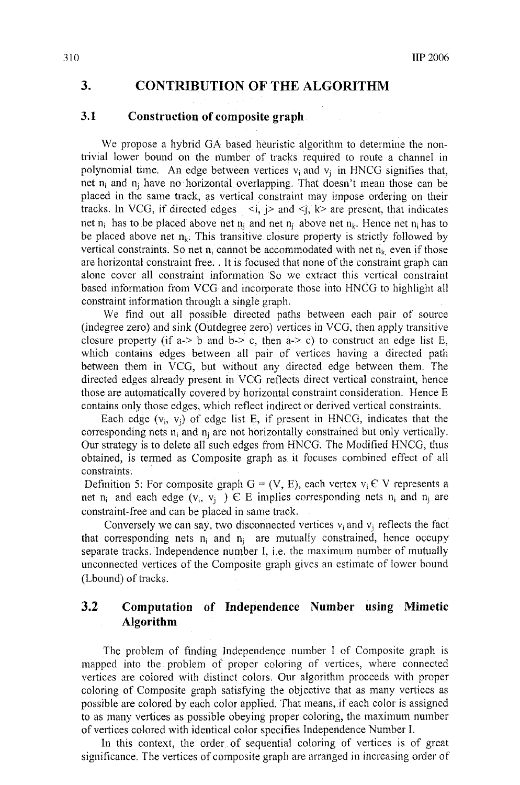# 3. CONTRIBUTION OF THE ALGORITHM

#### **3.1 Construction of composite graph**

We propose a hybrid GA based heuristic algorithm to determine the nontrivial lower bound on the number of tracks required to route a channel in polynomial time. An edge between vertices  $v_i$  and  $v_j$  in HNCG signifies that, net n<sub>i</sub> and n<sub>i</sub> have no horizontal overlapping. That doesn't mean those can be placed in the same track, as vertical constraint may impose ordering on their tracks. In VCG, if directed edges  $\leq i$ ,  $j$  and  $\leq j$ ,  $k$  are present, that indicates net  $n_i$  has to be placed above net  $n_i$  and net  $n_i$  above net  $n_k$ . Hence net  $n_i$  has to be placed above net  $n_k$ . This transitive closure property is strictly followed by vertical constraints. So net n<sub>i</sub> cannot be accommodated with net  $n_k$  even if those are horizontal constraint free. . It is focused that none of the constraint graph can alone cover all constraint information So we extract this vertical constraint based information from VCG and incorporate those into HNCG to highlight all constraint information through a single graph.

We find out all possible directed paths between each pair of source (indegree zero) and sink (Outdegree zero) vertices in VCG, then apply transitive closure property (if  $a$ -> b and  $b$ -> c, then  $a$ -> c) to construct an edge list E, which contains edges between all pair of vertices having a directed path between them in VCG, but without any directed edge between them. The directed edges already present in VCG reflects direct vertical constraint, hence those are automatically covered by horizontal constraint consideration. Hence E contains only those edges, which reflect indirect or derived vertical constraints.

Each edge  $(v_i, v_i)$  of edge list E, if present in HNCG, indicates that the corresponding nets  $n_i$  and  $n_i$  are not horizontally constrained but only vertically. Our strategy is to delete all such edges from HNCG. The Modified HNCG, thus obtained, is termed as Composite graph as it focuses combined effect of all constraints.

Definition 5: For composite graph  $G = (V, E)$ , each vertex  $v_i \in V$  represents a net  $n_i$  and each edge ( $v_i$ ,  $v_j$ )  $\in$  E implies corresponding nets  $n_i$  and  $n_j$  are constraint-free and can be placed in same track.

Conversely we can say, two disconnected vertices  $v_i$  and  $v_j$  reflects the fact that corresponding nets  $n_i$  and  $n_j$  are mutually constrained, hence occupy separate tracks. Independence number I, i.e. the maximum number of mutually unconnected vertices of the Composite graph gives an estimate of lower bound (Lbound) of tracks.

# **3.2 Computation of Independence Number using Mimetic**  Algorithm

The problem of finding Independence number I of Composite graph is mapped into the problem of proper coloring of vertices, where connected vertices are colored with distinct colors. Our algorithm proceeds with proper coloring of Composite graph satisfying the objective that as many vertices as possible are colored by each color applied. That means, if each color is assigned to as many vertices as possible obeying proper coloring, the maximum number of vertices colored with identical color specifies Independence Number I.

In this context, the order of sequential coloring of vertices is of great significance. The vertices of composite graph are arranged in increasing order of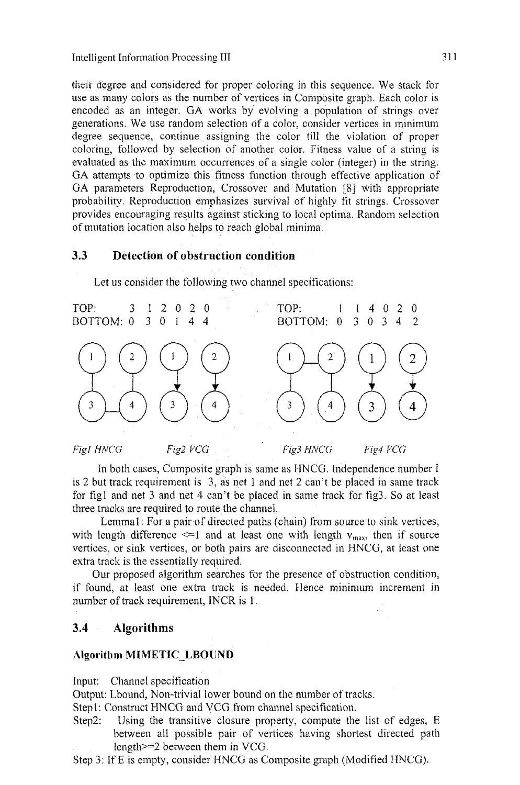their degree and considered for proper coloring in this sequence. We stack for use as many colors as the number of vertices in Composite graph. Each color is encoded as an integer. GA works by evolving a population of strings over generations. We use random selection of a color, consider vertices in minimum degree sequence, continue assigning the color till the violation of proper coloring, followed by selection of another color. Fitness value of a string is evaluated as the maximum occurrences of a single color (integer) in the string. GA attempts to optimize this fitness function through effective application of GA parameters Reproduction, Crossover and Mutation [8] with appropriate probability. Reproduction emphasizes survival of highly fit strings. Crossover provides encouraging results against sticking to local optima. Random selection of mutation location also helps to reach global minima.

#### **3.3 Detection of obstruction condition**

Let us consider the following two channel specifications;



In both cases. Composite graph is same as HNCG. Independence number I is 2 but track requirement is 3, as net 1 and net 2 can't be placed in same track for figl and net 3 and net 4 can't be placed in same track for fig3. So at least three tracks are required to route the channel.

Lemmal: For a pair of directed paths (chain) from source to sink vertices, with length difference  $\leq 1$  and at least one with length  $v_{\text{max}}$ , then if source vertices, or sink vertices, or both pairs are disconnected in HNCG, at least one extra track is the essentially required.

Our proposed algorithm searches for the presence of obstruction condition, if found, at least one extra track is needed. Hence minimum increment in number of track requirement, INCR is 1,

#### **3.4 Algorithms**

#### **Algorithm MlWETIC\_LBOUND**

Input: Channel specification

Output; Lbound, Non-trivial lower bound on the number of tracks.

Stepl: Construct HNCG and VCG from channel specification.

- Step2: Using the transitive closure property, compute the list of edges, E between all possible pair of vertices having shortest directed path length>=2 between them in VCG.
- Step 3: If E is empty, consider HNCG as Composite graph (Modified HNCG).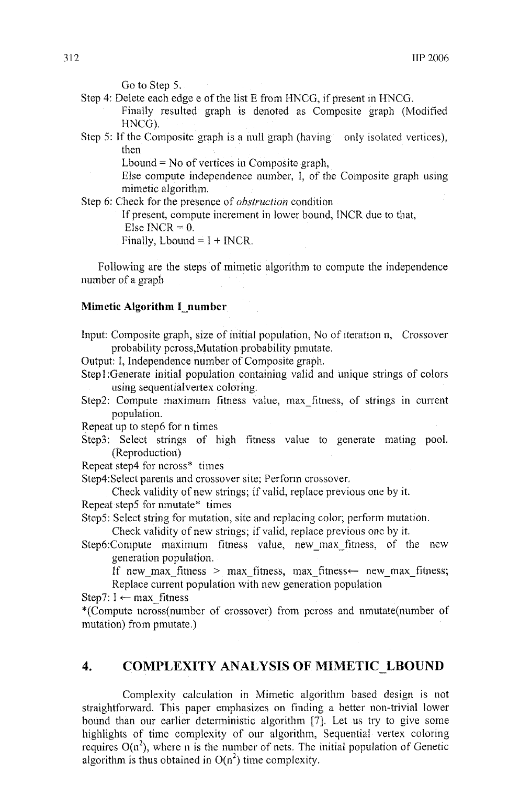Go to Step 5.

Step 4: Delete each edge e of the list E from HNCG, if present in HNCG.

Finally resulted graph is denoted as Composite graph (Modified HNCG).

Step 5: If the Composite graph is a null graph (having only isolated vertices), then

Lbound = No of vertices in Composite graph,

Else compute independence number, I, of the Composite graph using mimetic algorithm.

Step 6: Check for the presence *of obstruction* condition

If present, compute increment in lower bound, INCR due to that. Else INCR =  $0$ .

Finally, Lbound =  $I + INCR$ .

Following are the steps of mimetic algorithm to compute the independence number of a graph

#### **Mimetic Algorithm I\_number**

Input; Composite graph, size of initial population. No of iteration n, Crossover probability pcross.Mutation probability pmutate.

Output; I, Independence number of Composite graph.

- Stepl;Generate initial population containing valid and unique strings of colors using sequentialvertex coloring.
- Step2: Compute maximum fitness value, max\_fitness, of strings in current population.

Repeat up to step6 for n times

Step3: Select strings of high fitness value to generate mating pool. (Reproduction)

Repeat step4 for ncross\* times

Step4:Select parents and crossover site; Perform crossover,

Check validity of new strings; if valid, replace previous one by it.

Repeat step5 for nmutate\* times

StepS; Select string for mutation, site and replacing color; perform mutation.

Check validity of new strings; if valid, replace previous one by it.

Step6:Compute maximum fitness value, new max fitness, of the new generation population.

If new max fitness > max fitness, max fitness $\leftarrow$  new max fitness; Replace current population with new generation population

Step7:  $I \leftarrow max$  fitness

\*(Compute ncross(number of crossover) from pcross and nmutate(number of mutation) from pmutate.)

#### 4. COMPLEXITY ANALYSIS OF MIMETIC LBOUND

Complexity calculation in Mimetic algorithm based design is not straightforward. This paper emphasizes on finding a better non-trivial lower bound than our earlier deterministic algorithm [7]. Let us try to give some highlights of time complexity of our algorithm, Sequential vertex coloring requires  $O(n^2)$ , where n is the number of nets. The initial population of Genetic algorithm is thus obtained in  $O(n^2)$  time complexity.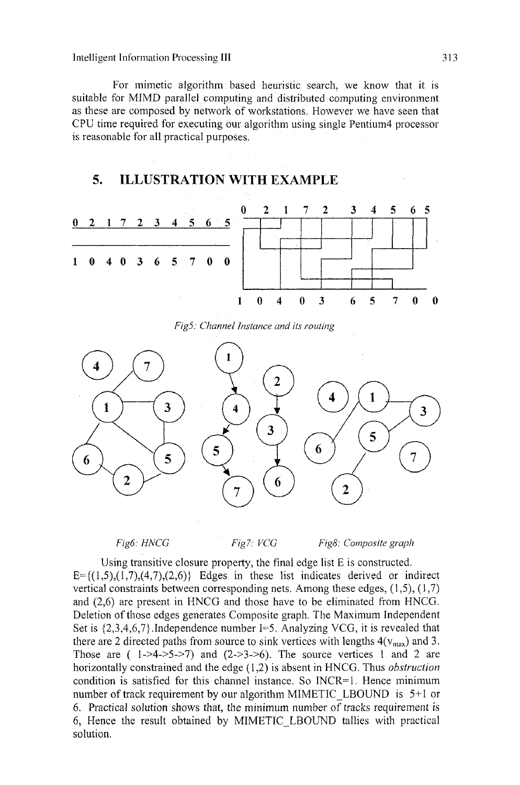Intelligent Information Processing III 313

For mimetic algorithm based heuristic search, we know that it is suitable for MIMD parallel computing and distributed computing environment as these are composed by network of workstations. However we have seen that CPU time required for executing our algorithm using single Pentium4 processor is reasonable for all practical purposes.

5. ILLUSTRATION WITH EXAMPLE



*Fig5: Channel Instance and its routing* 



*Fig6: HNCG Fig7: VCG Fig8: Composite graph* 

Using transitive closure property, the final edge list E is constructed.  $E=\{(1,5),(1,7),(4,7),(2,6)\}$  Edges in these list indicates derived or indirect vertical constraints between corresponding nets. Among these edges, (1,5), (1,7) and (2,6) are present in HNCG and those have to be eliminated from HNCG. Deletion of those edges generates Composite graph. The Maximum Independent Set is  $\{2,3,4,6,7\}$ . Independence number 1=5. Analyzing VCG, it is revealed that there are 2 directed paths from source to sink vertices with lengths  $4(v_{max})$  and 3. Those are  $(1-24-25-27)$  and  $(2-23-26)$ . The source vertices 1 and 2 are horizontally constrained and the edge (1,2) is absent in HNCG. Thus *obstruction*  condition is satisfied for this channel instance. So INCR=1. Hence minimum number of track requirement by our algorithm MIMETIC\_LBOUND is 5+1 or 6. Practical solution shows that, the minimum number of tracks requirement is 6, Hence the result obtained by MIMETIC\_LBOUND tallies with practical solution.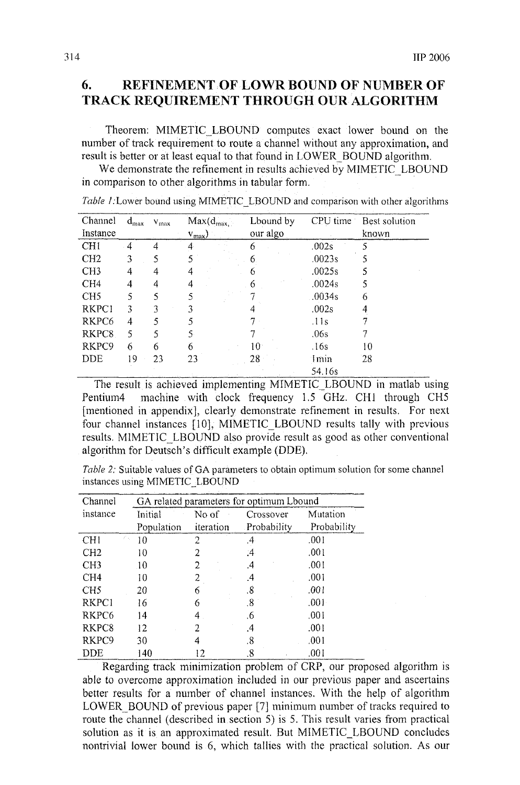# 6. REFINEMENT OF LOWR BOUND OF NUMBER OF TRACK REQUIREMENT THROUGH OUR ALGORITHM

Theorem; MIMETIC\_LBOUND computes exact lower bound on the number of track requirement to route a channel without any approximation, and result is better or at least equal to that found in LOWER BOUND algorithm.

We demonstrate the refinement in results achieved by MIMETIC\_LBOUND in comparison to other algorithms in tabular form.

| Channel         | $d_{max}$ | $V_{\text{max}}$ | $Max(d_{max, \cdot})$ | Lbound by    | CPU time | Best solution |
|-----------------|-----------|------------------|-----------------------|--------------|----------|---------------|
| Instance        |           |                  | $V_{\text{max}}$      | our algo     |          | known         |
| CH <sub>1</sub> | 4         | 4                |                       | 6            | .002s    |               |
| CH <sub>2</sub> | 3         | 5                |                       | 6            | .0023s   |               |
| CH <sub>3</sub> | 4         | 4                |                       | O            | .0025s   |               |
| CH <sub>4</sub> | 4         | 4                | 4                     | <sub>t</sub> | .0024s   |               |
| CH <sub>5</sub> | 5         | 5                |                       |              | .0034s   | 6             |
| RKPC1           | 3         |                  |                       |              | .002s    |               |
| RKPC6           | 4         |                  |                       |              | .11s     |               |
| RKPC8           | 5         |                  |                       |              | .06s     |               |
| RKPC9           | 6         | 6                | 6                     | 10.          | .16s     | 10            |
| DDE             | 19        | 23               | 23                    | 28           | Imin     | 28            |
|                 |           |                  |                       |              | 54.16s   |               |

*Table* /.Lower bound using MIMETIC\_LBOUND and comparison with other algorithms

The result is achieved implementing MIMETIC\_LBOUND in matlab using Pentium4 machine with clock frequency 1.5 GHz. CHI through CH5 [mentioned in appendix], clearly demonstrate refinement in results. For next four channel instances [10], MIMETIC\_LBOUND results tally with previous results. MIMETIC\_LBOUND also provide result as good as other conventional algorithm for Deutsch's difficult example (DDE).

*Table 2:* Suitable values of GA parameters to obtain optimum solution for some channel instances using MIMETIC\_LBOUND

| Channel         | GA related parameters for optimum Lbound |           |               |             |  |  |  |  |  |  |
|-----------------|------------------------------------------|-----------|---------------|-------------|--|--|--|--|--|--|
| instance        | Initial                                  | No of     | Crossover     | Mutation    |  |  |  |  |  |  |
|                 | Population                               | iteration | Probability   | Probability |  |  |  |  |  |  |
| CH <sub>1</sub> | $f^{\prime}(\phi_{1})$<br>10             | 2         | $\mathcal{A}$ | .001        |  |  |  |  |  |  |
| CH <sub>2</sub> | 10                                       | 2         | $\cdot$ 4     | .001        |  |  |  |  |  |  |
| CH <sub>3</sub> | 10                                       | 2         | $\mathcal{A}$ | .001        |  |  |  |  |  |  |
| CH <sub>4</sub> | 10                                       | 2         | .4            | .001        |  |  |  |  |  |  |
| CH <sub>5</sub> | 20                                       | 6         | $\cdot$ 8     | .001        |  |  |  |  |  |  |
| <b>RKPC1</b>    | 16                                       | 6         | .8            | .001        |  |  |  |  |  |  |
| RKPC6           | 14                                       | 4         | .6            | .001        |  |  |  |  |  |  |
| RKPC8           | 12                                       | 2         | .4            | .001        |  |  |  |  |  |  |
| RKPC9           | 30                                       | 4         | -8            | .001        |  |  |  |  |  |  |
| DDE             | 140                                      | 12        | .8            | .001        |  |  |  |  |  |  |

Regarding track minimization problem of CRP, our proposed algorithm is able to overcome approximation included in our previous paper and ascertains better results for a number of channel instances. With the help of algorithm LOWER BOUND of previous paper [7] minimum number of tracks required to route the channel (described in section 5) is 5. This result varies from practical solution as it is an approximated result. But MIMETIC LBOUND concludes nontrivial lower bound is 6, which tallies with the practical solution. As our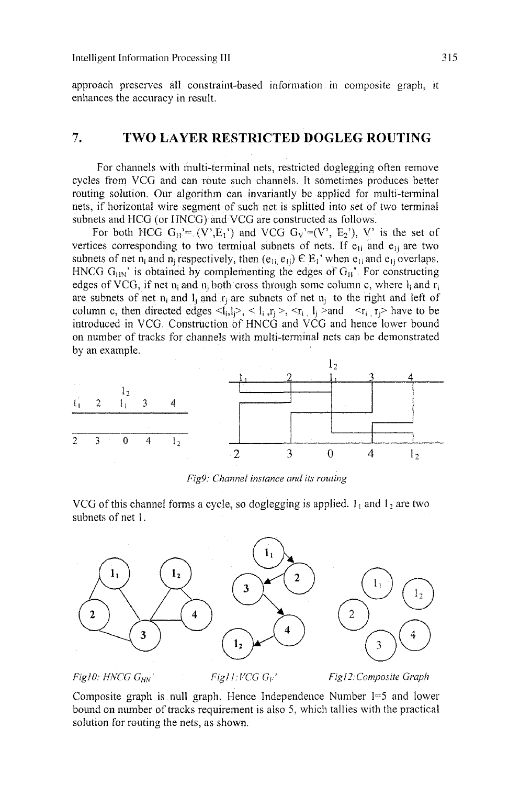approach preserves all constraint-based information in composite graph, it enhances the accuracy in result.

#### **7.** TWO LAYER RESTRICTED DOGLEG ROUTING

For channels with multi-terminal nets, restricted doglegging often remove cycles from VCG and can route such channels. It sometimes produces belter routing solution. Our algorithm can invariantly be applied for multi-terminal nets, if horizontal wire segment of such net is splitted into set of two terminal subnets and HCG (or HNCG) and VCG are constructed as follows.

For both HCG  $G_H = (V', E_1')$  and VCG  $G_V = (V', E_2')$ , V' is the set of vertices corresponding to two terminal subnets of nets. If  $e_{1i}$  and  $e_{1i}$  are two subnets of net  $n_i$  and  $n_j$  respectively, then  $(e_{1i}, e_{1j}) \in E_i$ ' when  $e_{1i}$  and  $e_{1i}$  overlaps. HNCG  $G_{HN}$ ' is obtained by complementing the edges of  $G_{H}$ '. For constructing edges of VCG, if net  $n_i$  and  $n_i$  both cross through some column c, where  $l_i$  and  $r_i$ are subnets of net  $n_i$  and  $l_i$  and  $r_i$  are subnets of net  $n_i$  to the right and left of column c, then directed edges  $\langle i_1, i_2 \rangle, \langle i_1, r_1 \rangle, \langle r_i, i_j \rangle$  and  $\langle r_i, r_i \rangle$  have to be introduced in VCG. Construction of HNCG and VCG and hence lower bound on number of tracks for channels with multi-terminal nets can be demonstrated by an example.



*Fig9: Channel instance and its routing* 

VCG of this channel forms a cycle, so doglegging is applied.  $1_1$  and  $1_2$  are two subnets of net 1.



Fig10: HNCG G<sub>HN</sub>'

*FigJl.VCGGr' Fig!2:Composite Graph* 

Composite graph is null graph. Hence Independence Number 1=5 and lower bound on number of tracks requirement is also 5, which tallies with the practical solution for routing the nets, as shown.